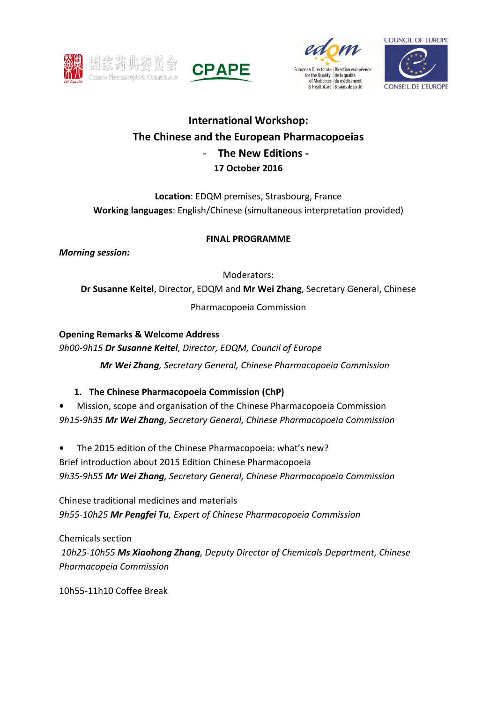







# **International Workshop: The Chinese and the European Pharmacopoeias**  - **The New Editions - 17 October 2016**

**Location**: EDQM premises, Strasbourg, France **Working languages**: English/Chinese (simultaneous interpretation provided)

### **FINAL PROGRAMME**

*Morning session:* 

Moderators:

**Dr Susanne Keitel**, Director, EDQM and **Mr Wei Zhang**, Secretary General, Chinese

Pharmacopoeia Commission

**Opening Remarks & Welcome Address**  *9h00-9h15 Dr Susanne Keitel, Director, EDQM, Council of Europe* 

 *Mr Wei Zhang, Secretary General, Chinese Pharmacopoeia Commission*

## **1. The Chinese Pharmacopoeia Commission (ChP)**

**•** Mission, scope and organisation of the Chinese Pharmacopoeia Commission *9h15-9h35 Mr Wei Zhang, Secretary General, Chinese Pharmacopoeia Commission* 

**•** The 2015 edition of the Chinese Pharmacopoeia: what's new? Brief introduction about 2015 Edition Chinese Pharmacopoeia *9h35-9h55 Mr Wei Zhang, Secretary General, Chinese Pharmacopoeia Commission* 

Chinese traditional medicines and materials *9h55-10h25 Mr Pengfei Tu, Expert of Chinese Pharmacopoeia Commission* 

Chemicals section *10h25-10h55 Ms Xiaohong Zhang, Deputy Director of Chemicals Department, Chinese Pharmacopeia Commission* 

10h55-11h10 Coffee Break